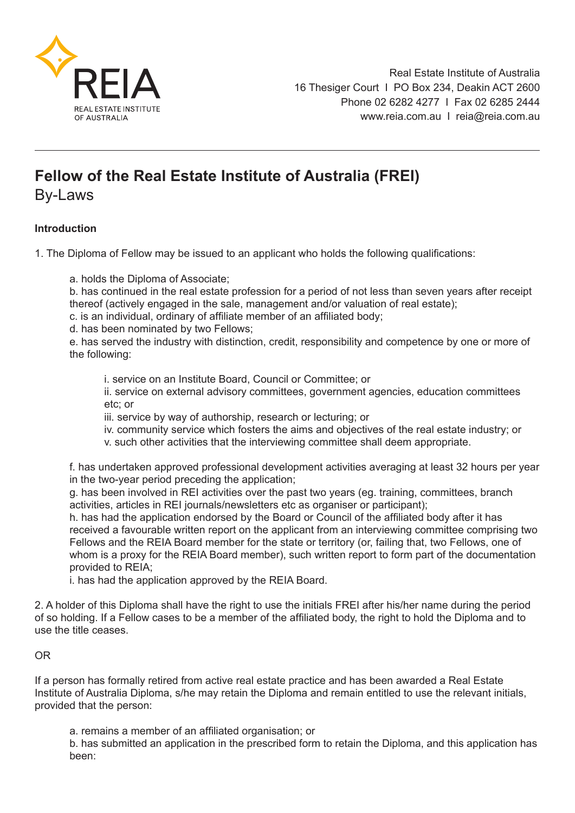

## **Fellow of the Real Estate Institute of Australia (FREI)**

By-Laws

## **Introduction**

1. The Diploma of Fellow may be issued to an applicant who holds the following qualifications:

a. holds the Diploma of Associate;

b. has continued in the real estate profession for a period of not less than seven years after receipt thereof (actively engaged in the sale, management and/or valuation of real estate);

c. is an individual, ordinary of affiliate member of an affiliated body;

d. has been nominated by two Fellows;

e. has served the industry with distinction, credit, responsibility and competence by one or more of the following:

i. service on an Institute Board, Council or Committee; or

 ii. service on external advisory committees, government agencies, education committees etc; or

iii. service by way of authorship, research or lecturing; or

iv. community service which fosters the aims and objectives of the real estate industry; or

v. such other activities that the interviewing committee shall deem appropriate.

f. has undertaken approved professional development activities averaging at least 32 hours per year in the two-year period preceding the application;

g. has been involved in REI activities over the past two years (eg. training, committees, branch activities, articles in REI journals/newsletters etc as organiser or participant);

h. has had the application endorsed by the Board or Council of the affiliated body after it has received a favourable written report on the applicant from an interviewing committee comprising two Fellows and the REIA Board member for the state or territory (or, failing that, two Fellows, one of whom is a proxy for the REIA Board member), such written report to form part of the documentation provided to REIA;

i. has had the application approved by the REIA Board.

2. A holder of this Diploma shall have the right to use the initials FREI after his/her name during the period of so holding. If a Fellow cases to be a member of the affiliated body, the right to hold the Diploma and to use the title ceases.

## OR

If a person has formally retired from active real estate practice and has been awarded a Real Estate Institute of Australia Diploma, s/he may retain the Diploma and remain entitled to use the relevant initials, provided that the person:

a. remains a member of an affiliated organisation; or

b. has submitted an application in the prescribed form to retain the Diploma, and this application has been: